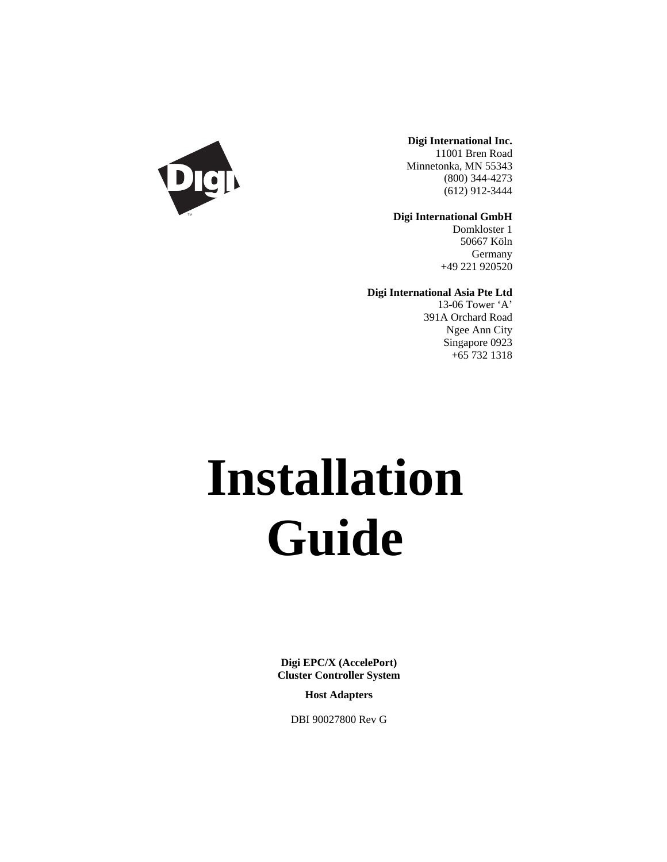

**Digi International Inc.** 11001 Bren Road Minnetonka, MN 55343 (800) 344-4273 (612) 912-3444

**Digi International GmbH**

Domkloster 1 50667 Köln Germany +49 221 920520

**Digi International Asia Pte Ltd**

13-06 Tower 'A' 391A Orchard Road Ngee Ann City Singapore 0923 +65 732 1318

# **Installation Guide**

**Digi EPC/X (AccelePort) Cluster Controller System**

**Host Adapters**

DBI 90027800 Rev G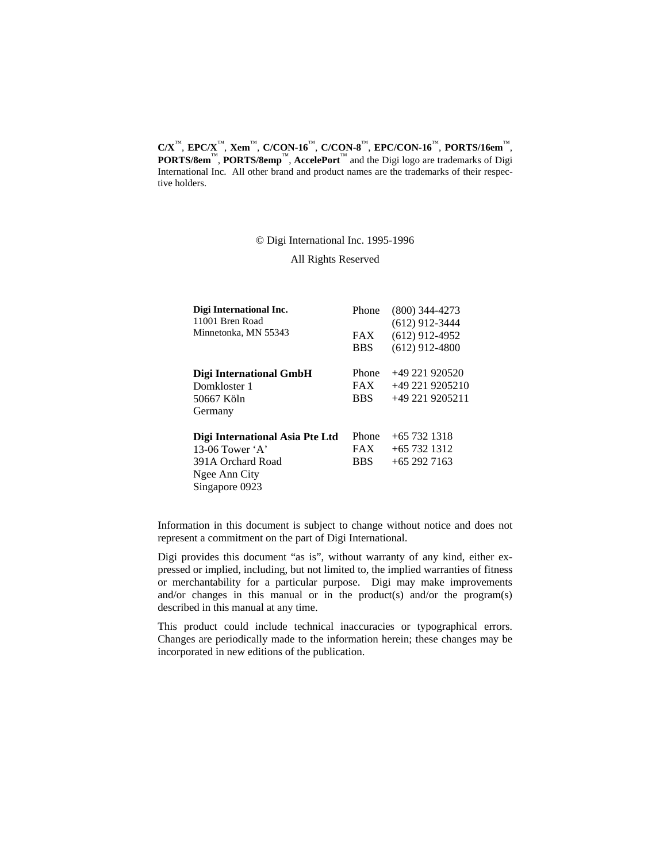**C/X**™, **EPC/X**™, **Xem**™, **C/CON-16**™, **C/CON-8**™, **EPC/CON-16**™, **PORTS/16em**™, **PORTS/8em**™, **PORTS/8emp**™, **AccelePort**™ and the Digi logo are trademarks of Digi International Inc. All other brand and product names are the trademarks of their respective holders.

© Digi International Inc. 1995-1996

All Rights Reserved

| Digi International Inc.<br>11001 Bren Road                                                                          | Phone                             | $(800)$ 344-4273<br>$(612)$ 912-3444                 |
|---------------------------------------------------------------------------------------------------------------------|-----------------------------------|------------------------------------------------------|
| Minnetonka, MN 55343                                                                                                | <b>FAX</b><br><b>BBS</b>          | $(612)$ 912-4952<br>$(612)$ 912-4800                 |
| Digi International GmbH<br>Domkloster 1<br>50667 Köln<br>Germany                                                    | Phone<br><b>FAX</b><br><b>BBS</b> | $+49221920520$<br>+49 221 9205210<br>+49 221 9205211 |
| Digi International Asia Pte Ltd<br>13-06 Tower $\mathbf{A}$<br>391A Orchard Road<br>Ngee Ann City<br>Singapore 0923 | Phone<br><b>FAX</b><br><b>BBS</b> | $+65$ 732 1318<br>$+65$ 732 1312<br>$+652927163$     |

Information in this document is subject to change without notice and does not represent a commitment on the part of Digi International.

Digi provides this document "as is", without warranty of any kind, either expressed or implied, including, but not limited to, the implied warranties of fitness or merchantability for a particular purpose. Digi may make improvements and/or changes in this manual or in the product(s) and/or the program(s) described in this manual at any time.

This product could include technical inaccuracies or typographical errors. Changes are periodically made to the information herein; these changes may be incorporated in new editions of the publication.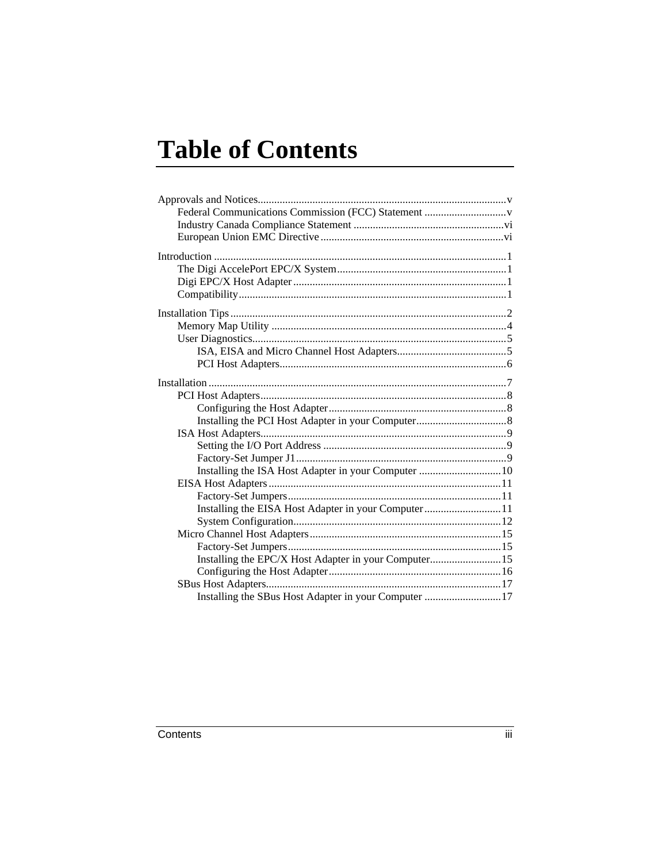# **Table of Contents**

| Installing the ISA Host Adapter in your Computer  10  |  |
|-------------------------------------------------------|--|
|                                                       |  |
|                                                       |  |
| Installing the EISA Host Adapter in your Computer11   |  |
|                                                       |  |
|                                                       |  |
|                                                       |  |
| Installing the EPC/X Host Adapter in your Computer 15 |  |
|                                                       |  |
|                                                       |  |
| Installing the SBus Host Adapter in your Computer 17  |  |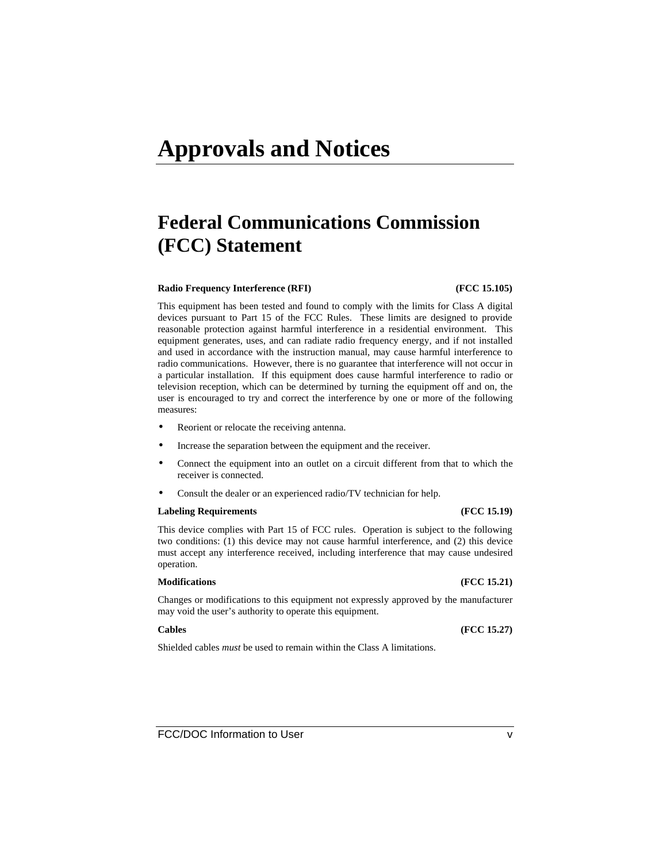# **Federal Communications Commission (FCC) Statement**

#### **Radio Frequency Interference (RFI) (FCC 15.105)**

This equipment has been tested and found to comply with the limits for Class A digital devices pursuant to Part 15 of the FCC Rules. These limits are designed to provide reasonable protection against harmful interference in a residential environment. This equipment generates, uses, and can radiate radio frequency energy, and if not installed and used in accordance with the instruction manual, may cause harmful interference to radio communications. However, there is no guarantee that interference will not occur in a particular installation. If this equipment does cause harmful interference to radio or television reception, which can be determined by turning the equipment off and on, the user is encouraged to try and correct the interference by one or more of the following measures:

- Reorient or relocate the receiving antenna.
- Increase the separation between the equipment and the receiver.
- Connect the equipment into an outlet on a circuit different from that to which the receiver is connected.
- Consult the dealer or an experienced radio/TV technician for help.

#### **Labeling Requirements (FCC 15.19)**

This device complies with Part 15 of FCC rules. Operation is subject to the following two conditions: (1) this device may not cause harmful interference, and (2) this device must accept any interference received, including interference that may cause undesired operation.

#### **Modifications (FCC 15.21)**

Changes or modifications to this equipment not expressly approved by the manufacturer may void the user's authority to operate this equipment.

#### **Cables (FCC 15.27)**

Shielded cables *must* be used to remain within the Class A limitations.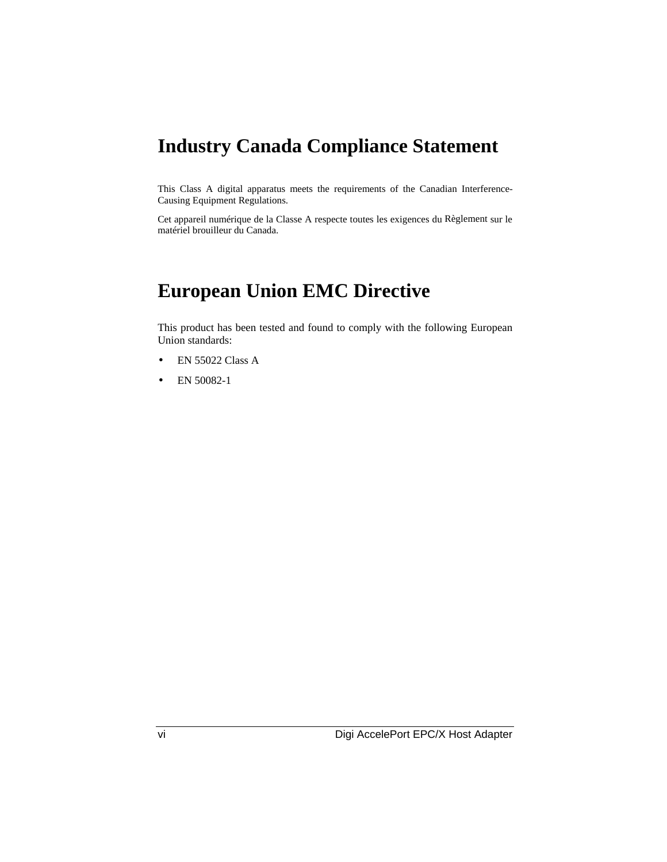# **Industry Canada Compliance Statement**

This Class A digital apparatus meets the requirements of the Canadian Interference-Causing Equipment Regulations.

Cet appareil numérique de la Classe A respecte toutes les exigences du Règlement sur le matériel brouilleur du Canada.

# **European Union EMC Directive**

This product has been tested and found to comply with the following European Union standards:

- EN 55022 Class A
- EN 50082-1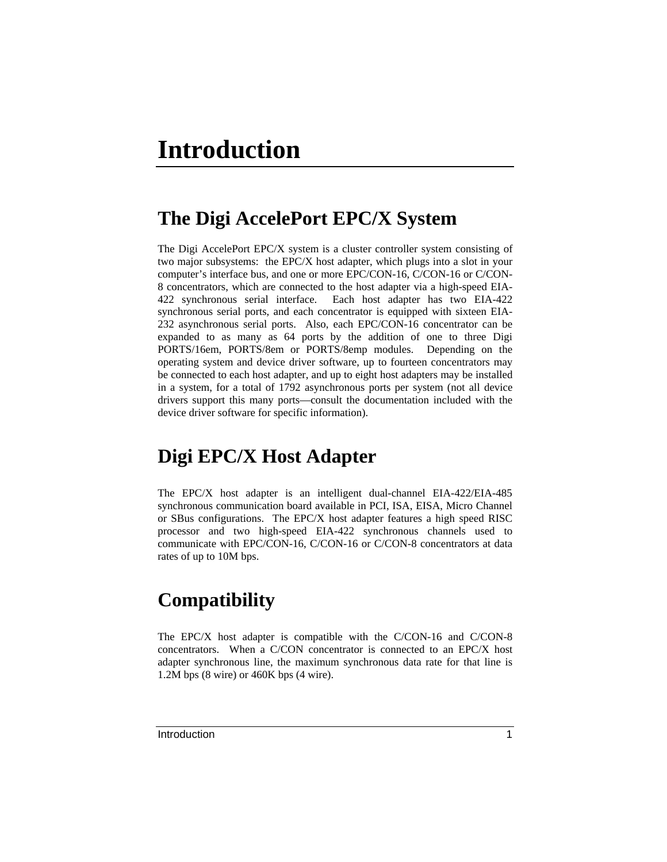# **The Digi AccelePort EPC/X System**

The Digi AccelePort EPC/X system is a cluster controller system consisting of two major subsystems: the EPC/X host adapter, which plugs into a slot in your computer's interface bus, and one or more EPC/CON-16, C/CON-16 or C/CON-8 concentrators, which are connected to the host adapter via a high-speed EIA-422 synchronous serial interface. Each host adapter has two EIA-422 synchronous serial ports, and each concentrator is equipped with sixteen EIA-232 asynchronous serial ports. Also, each EPC/CON-16 concentrator can be expanded to as many as 64 ports by the addition of one to three Digi PORTS/16em, PORTS/8em or PORTS/8emp modules. Depending on the operating system and device driver software, up to fourteen concentrators may be connected to each host adapter, and up to eight host adapters may be installed in a system, for a total of 1792 asynchronous ports per system (not all device drivers support this many ports—consult the documentation included with the device driver software for specific information).

# **Digi EPC/X Host Adapter**

The EPC/X host adapter is an intelligent dual-channel EIA-422/EIA-485 synchronous communication board available in PCI, ISA, EISA, Micro Channel or SBus configurations. The EPC/X host adapter features a high speed RISC processor and two high-speed EIA-422 synchronous channels used to communicate with EPC/CON-16, C/CON-16 or C/CON-8 concentrators at data rates of up to 10M bps.

# **Compatibility**

The EPC/X host adapter is compatible with the C/CON-16 and C/CON-8 concentrators. When a C/CON concentrator is connected to an EPC/X host adapter synchronous line, the maximum synchronous data rate for that line is 1.2M bps (8 wire) or 460K bps (4 wire).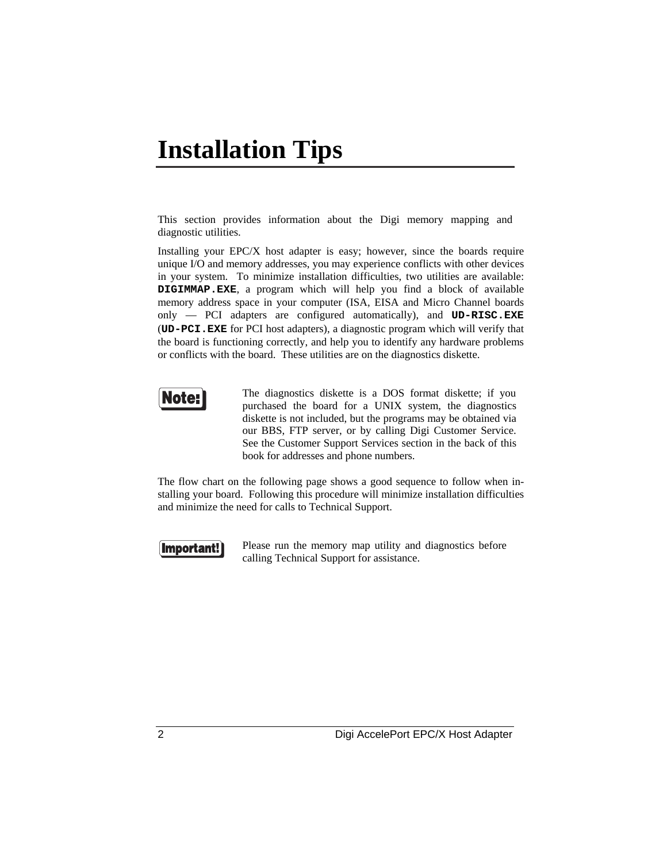# **Installation Tips**

This section provides information about the Digi memory mapping and diagnostic utilities.

Installing your EPC/X host adapter is easy; however, since the boards require unique I/O and memory addresses, you may experience conflicts with other devices in your system. To minimize installation difficulties, two utilities are available: **DIGIMMAP.EXE**, a program which will help you find a block of available memory address space in your computer (ISA, EISA and Micro Channel boards only — PCI adapters are configured automatically), and **UD-RISC.EXE** (**UD-PCI.EXE** for PCI host adapters), a diagnostic program which will verify that the board is functioning correctly, and help you to identify any hardware problems or conflicts with the board. These utilities are on the diagnostics diskette.



The diagnostics diskette is a DOS format diskette; if you purchased the board for a UNIX system, the diagnostics diskette is not included, but the programs may be obtained via our BBS, FTP server, or by calling Digi Customer Service. See the Customer Support Services section in the back of this book for addresses and phone numbers.

The flow chart on the following page shows a good sequence to follow when installing your board. Following this procedure will minimize installation difficulties and minimize the need for calls to Technical Support.



Please run the memory map utility and diagnostics before calling Technical Support for assistance.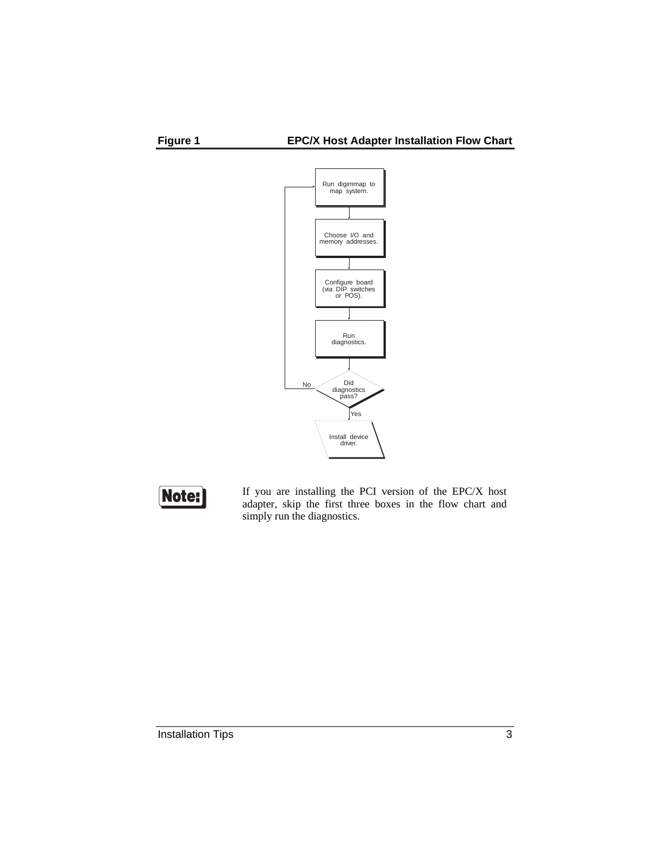





If you are installing the PCI version of the EPC/X host adapter, skip the first three boxes in the flow chart and simply run the diagnostics.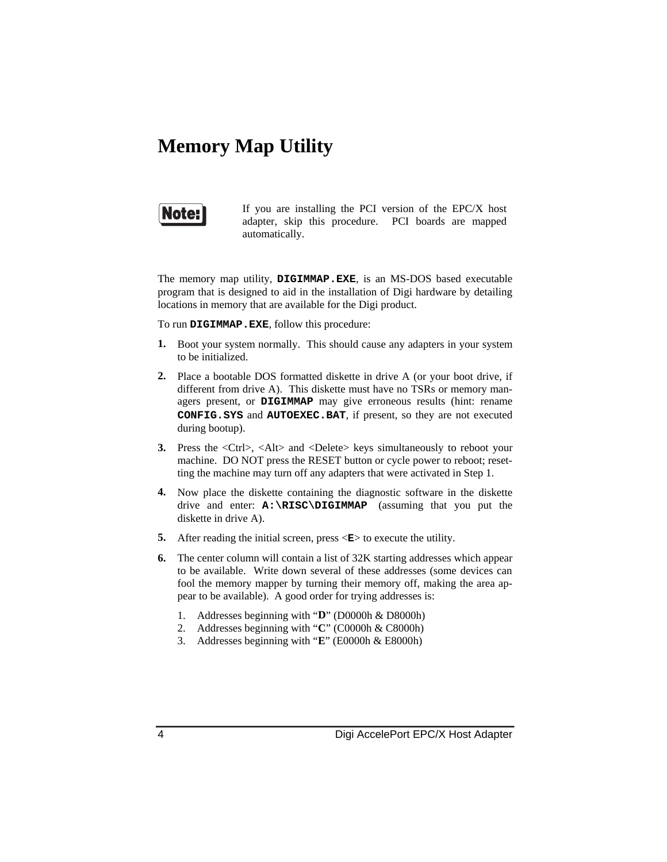# **Memory Map Utility**



If you are installing the PCI version of the EPC/X host adapter, skip this procedure. PCI boards are mapped automatically.

The memory map utility, **DIGIMMAP.EXE**, is an MS-DOS based executable program that is designed to aid in the installation of Digi hardware by detailing locations in memory that are available for the Digi product.

To run **DIGIMMAP.EXE**, follow this procedure:

- **1.** Boot your system normally. This should cause any adapters in your system to be initialized.
- **2.** Place a bootable DOS formatted diskette in drive A (or your boot drive, if different from drive A). This diskette must have no TSRs or memory managers present, or **DIGIMMAP** may give erroneous results (hint: rename **CONFIG.SYS** and **AUTOEXEC.BAT**, if present, so they are not executed during bootup).
- **3.** Press the <Ctrl>, <Alt> and <Delete> keys simultaneously to reboot your machine. DO NOT press the RESET button or cycle power to reboot; resetting the machine may turn off any adapters that were activated in Step 1.
- **4.** Now place the diskette containing the diagnostic software in the diskette drive and enter: **A:\RISC\DIGIMMAP** (assuming that you put the diskette in drive A).
- **5.** After reading the initial screen, press  $\langle \mathbf{E} \rangle$  to execute the utility.
- **6.** The center column will contain a list of 32K starting addresses which appear to be available. Write down several of these addresses (some devices can fool the memory mapper by turning their memory off, making the area appear to be available). A good order for trying addresses is:
	- 1. Addresses beginning with "**D**" (D0000h & D8000h)
	- 2. Addresses beginning with "**C**" (C0000h & C8000h)
	- 3. Addresses beginning with "**E**" (E0000h & E8000h)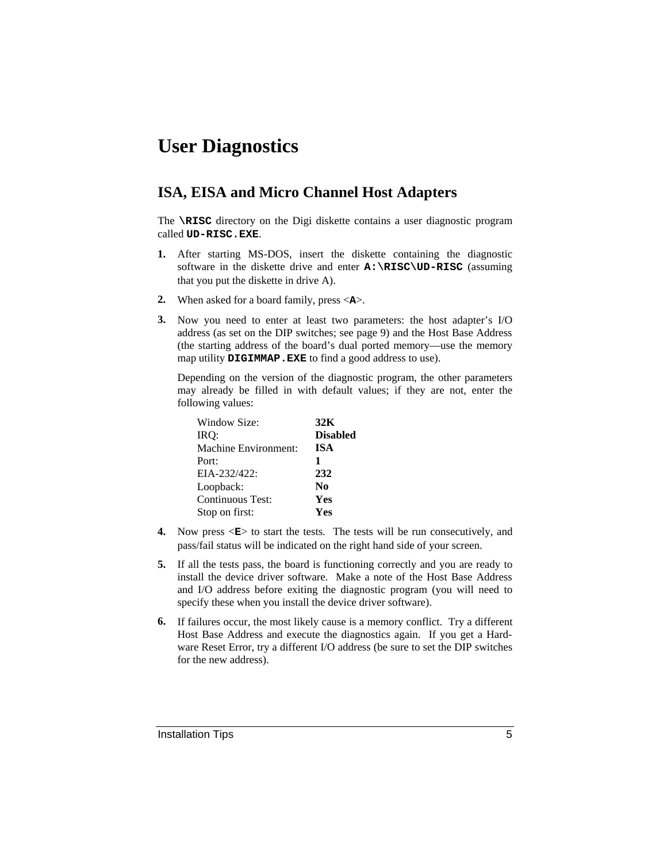# **User Diagnostics**

#### **ISA, EISA and Micro Channel Host Adapters**

The **\RISC** directory on the Digi diskette contains a user diagnostic program called **UD-RISC.EXE**.

- **1.** After starting MS-DOS, insert the diskette containing the diagnostic software in the diskette drive and enter **A:\RISC\UD-RISC** (assuming that you put the diskette in drive A).
- **2.** When asked for a board family, press <**A**>.
- **3.** Now you need to enter at least two parameters: the host adapter's I/O address (as set on the DIP switches; see page 9) and the Host Base Address (the starting address of the board's dual ported memory—use the memory map utility **DIGIMMAP.EXE** to find a good address to use).

Depending on the version of the diagnostic program, the other parameters may already be filled in with default values; if they are not, enter the following values:

| Window Size:         | 32K             |
|----------------------|-----------------|
| IRO:                 | <b>Disabled</b> |
| Machine Environment: | <b>ISA</b>      |
| Port:                | 1               |
| $EIA-232/422$ :      | 232             |
| Loopback:            | N <sub>0</sub>  |
| Continuous Test:     | Yes             |
| Stop on first:       | Yes             |

- **4.** Now press  $\langle \mathbf{E} \rangle$  to start the tests. The tests will be run consecutively, and pass/fail status will be indicated on the right hand side of your screen.
- **5.** If all the tests pass, the board is functioning correctly and you are ready to install the device driver software. Make a note of the Host Base Address and I/O address before exiting the diagnostic program (you will need to specify these when you install the device driver software).
- **6.** If failures occur, the most likely cause is a memory conflict. Try a different Host Base Address and execute the diagnostics again. If you get a Hardware Reset Error, try a different I/O address (be sure to set the DIP switches for the new address).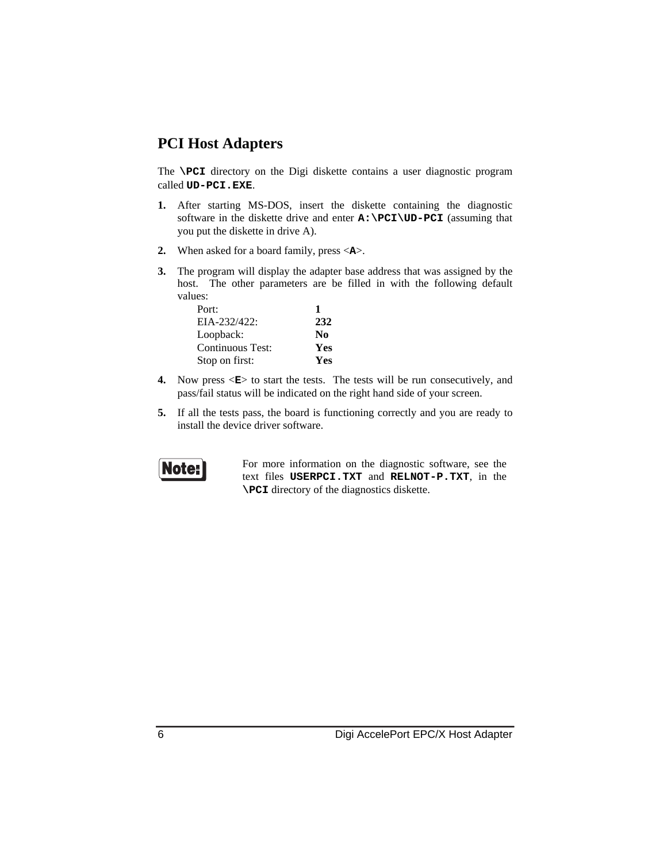#### **PCI Host Adapters**

The **\PCI** directory on the Digi diskette contains a user diagnostic program called **UD-PCI.EXE**.

- **1.** After starting MS-DOS, insert the diskette containing the diagnostic software in the diskette drive and enter  $A: \P C I \U D- P C I$  (assuming that you put the diskette in drive A).
- **2.** When asked for a board family, press <**A**>.
- **3.** The program will display the adapter base address that was assigned by the host. The other parameters are be filled in with the following default values:

| Port:            |                        |
|------------------|------------------------|
| EIA-232/422:     | 232                    |
| Loopback:        | $\mathbf{N}\mathbf{0}$ |
| Continuous Test: | Yes                    |
| Stop on first:   | Yes                    |

- **4.** Now press  $\leq$ **E**> to start the tests. The tests will be run consecutively, and pass/fail status will be indicated on the right hand side of your screen.
- **5.** If all the tests pass, the board is functioning correctly and you are ready to install the device driver software.



For more information on the diagnostic software, see the text files **USERPCI.TXT** and **RELNOT-P.TXT**, in the **\PCI** directory of the diagnostics diskette.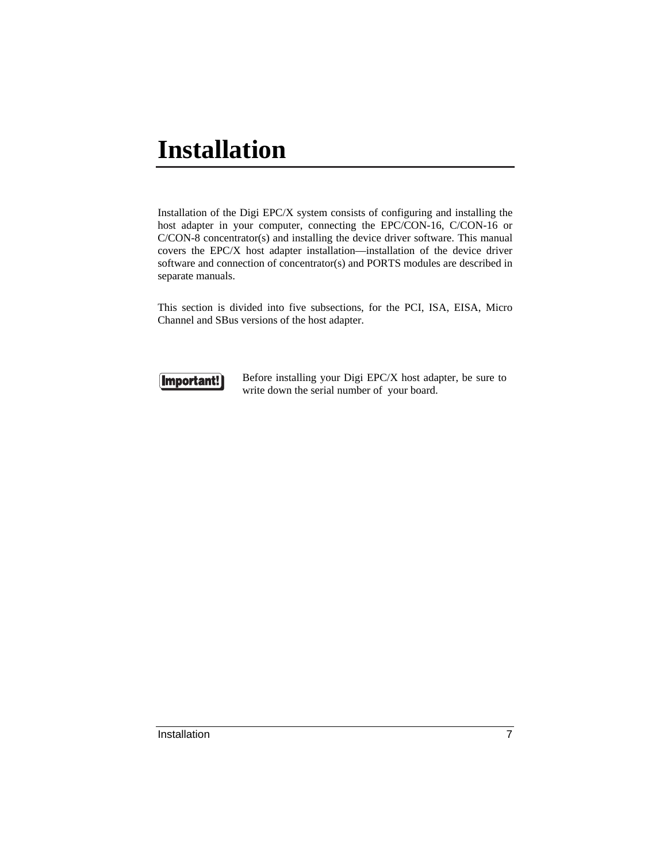# **Installation**

Installation of the Digi EPC/X system consists of configuring and installing the host adapter in your computer, connecting the EPC/CON-16, C/CON-16 or C/CON-8 concentrator(s) and installing the device driver software. This manual covers the EPC/X host adapter installation—installation of the device driver software and connection of concentrator(s) and PORTS modules are described in separate manuals.

This section is divided into five subsections, for the PCI, ISA, EISA, Micro Channel and SBus versions of the host adapter.



Before installing your Digi EPC/X host adapter, be sure to write down the serial number of your board.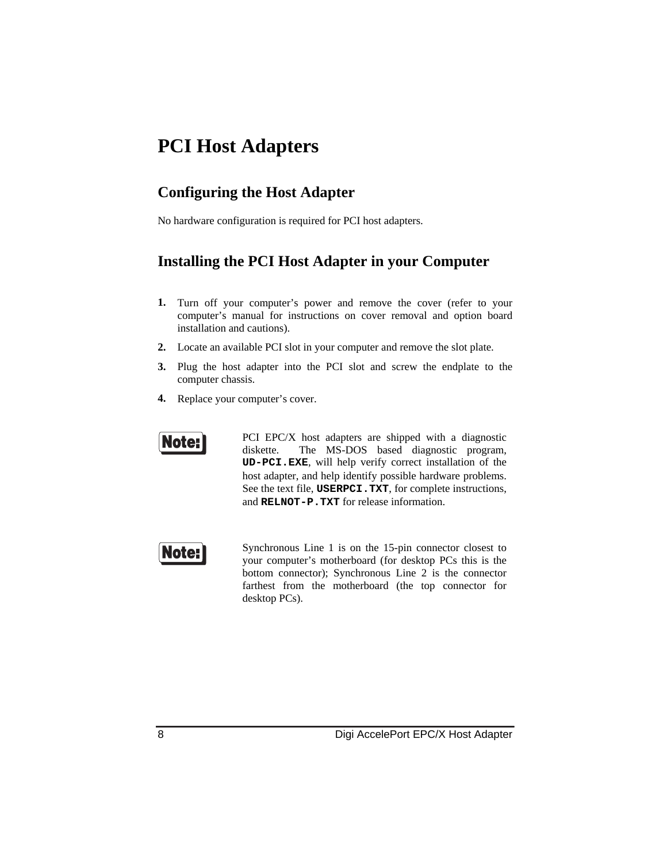# **PCI Host Adapters**

#### **Configuring the Host Adapter**

No hardware configuration is required for PCI host adapters.

#### **Installing the PCI Host Adapter in your Computer**

- **1.** Turn off your computer's power and remove the cover (refer to your computer's manual for instructions on cover removal and option board installation and cautions).
- **2.** Locate an available PCI slot in your computer and remove the slot plate.
- **3.** Plug the host adapter into the PCI slot and screw the endplate to the computer chassis.
- **4.** Replace your computer's cover.



PCI EPC/X host adapters are shipped with a diagnostic diskette. The MS-DOS based diagnostic program, **UD-PCI.EXE**, will help verify correct installation of the host adapter, and help identify possible hardware problems. See the text file, **USERPCI.TXT**, for complete instructions, and **RELNOT-P.TXT** for release information.



Synchronous Line 1 is on the 15-pin connector closest to your computer's motherboard (for desktop PCs this is the bottom connector); Synchronous Line 2 is the connector farthest from the motherboard (the top connector for desktop PCs).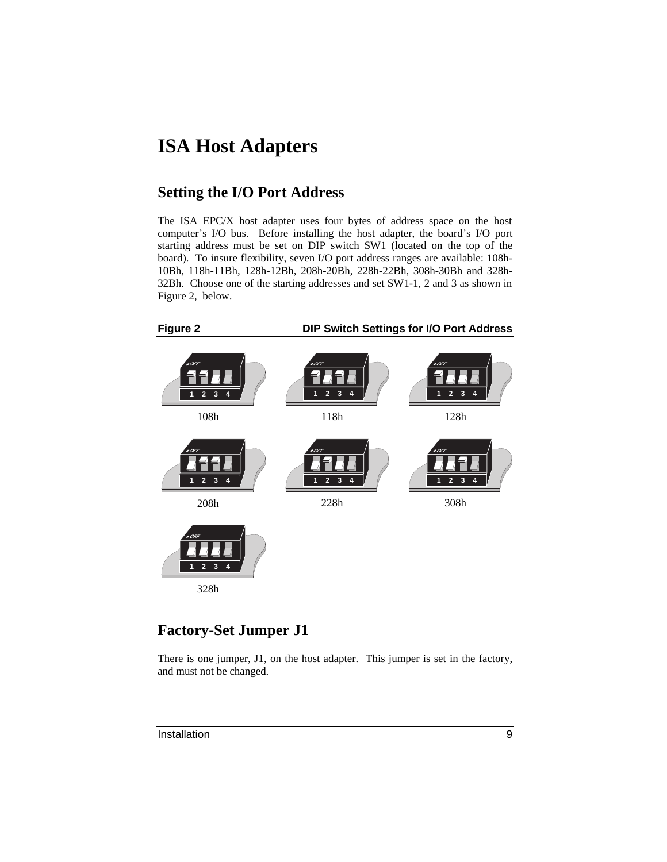# **ISA Host Adapters**

#### **Setting the I/O Port Address**

The ISA EPC/X host adapter uses four bytes of address space on the host computer's I/O bus. Before installing the host adapter, the board's I/O port starting address must be set on DIP switch SW1 (located on the top of the board). To insure flexibility, seven I/O port address ranges are available: 108h-10Bh, 118h-11Bh, 128h-12Bh, 208h-20Bh, 228h-22Bh, 308h-30Bh and 328h-32Bh. Choose one of the starting addresses and set SW1-1, 2 and 3 as shown in Figure 2, below.



#### **Factory-Set Jumper J1**

There is one jumper, J1, on the host adapter. This jumper is set in the factory, and must not be changed.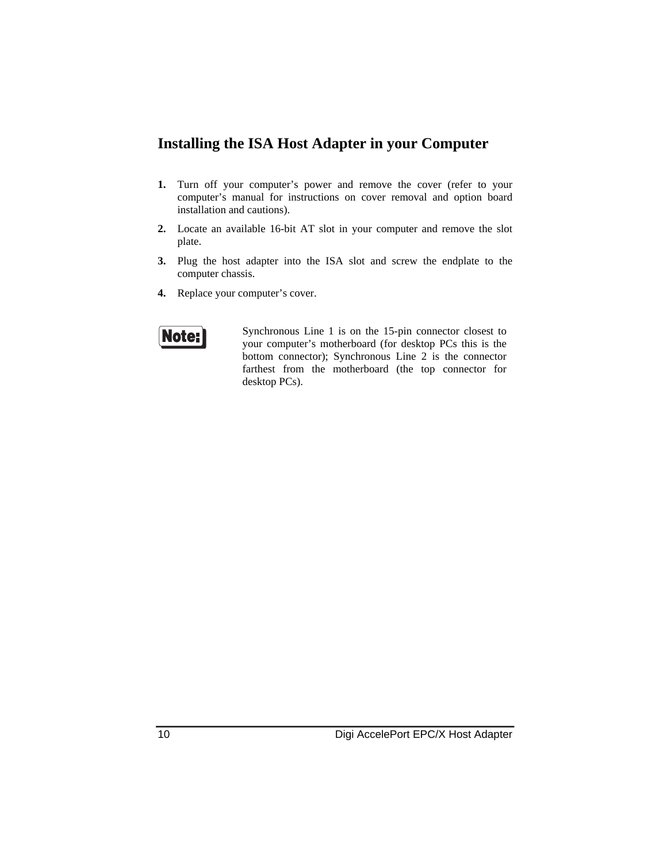#### **Installing the ISA Host Adapter in your Computer**

- **1.** Turn off your computer's power and remove the cover (refer to your computer's manual for instructions on cover removal and option board installation and cautions).
- **2.** Locate an available 16-bit AT slot in your computer and remove the slot plate.
- **3.** Plug the host adapter into the ISA slot and screw the endplate to the computer chassis.
- **4.** Replace your computer's cover.



Synchronous Line 1 is on the 15-pin connector closest to your computer's motherboard (for desktop PCs this is the bottom connector); Synchronous Line 2 is the connector farthest from the motherboard (the top connector for desktop PCs).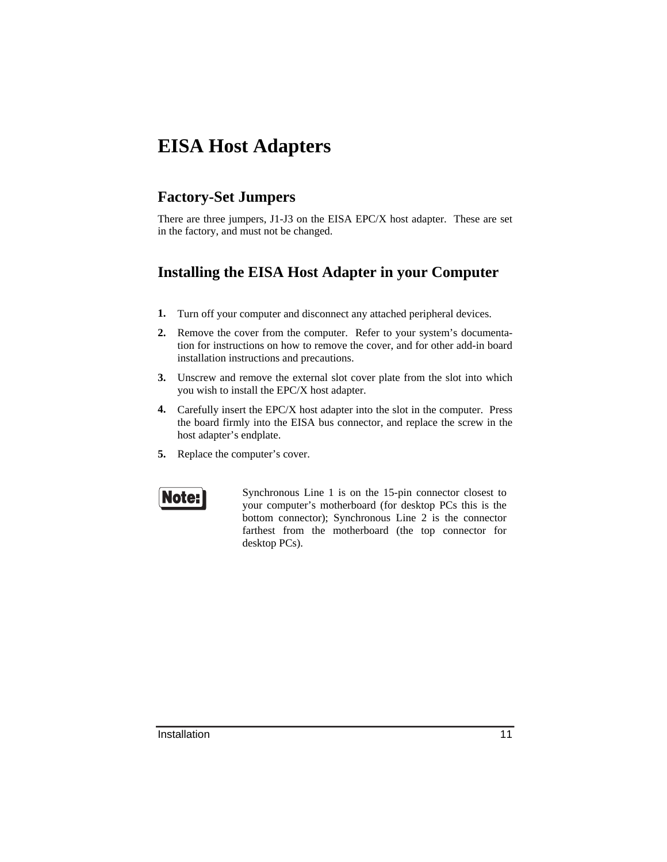# **EISA Host Adapters**

#### **Factory-Set Jumpers**

There are three jumpers, J1-J3 on the EISA EPC/X host adapter. These are set in the factory, and must not be changed.

#### **Installing the EISA Host Adapter in your Computer**

- **1.** Turn off your computer and disconnect any attached peripheral devices.
- **2.** Remove the cover from the computer. Refer to your system's documentation for instructions on how to remove the cover, and for other add-in board installation instructions and precautions.
- **3.** Unscrew and remove the external slot cover plate from the slot into which you wish to install the EPC/X host adapter.
- **4.** Carefully insert the EPC/X host adapter into the slot in the computer. Press the board firmly into the EISA bus connector, and replace the screw in the host adapter's endplate.
- **5.** Replace the computer's cover.



Synchronous Line 1 is on the 15-pin connector closest to your computer's motherboard (for desktop PCs this is the bottom connector); Synchronous Line 2 is the connector farthest from the motherboard (the top connector for desktop PCs).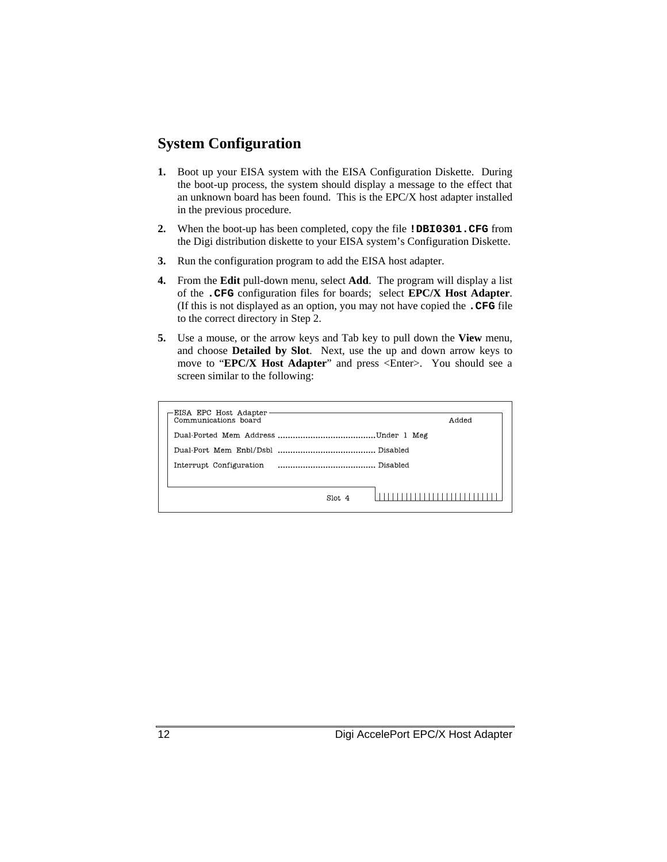#### **System Configuration**

- **1.** Boot up your EISA system with the EISA Configuration Diskette. During the boot-up process, the system should display a message to the effect that an unknown board has been found. This is the EPC/X host adapter installed in the previous procedure.
- **2.** When the boot-up has been completed, copy the file **!DBI0301.CFG** from the Digi distribution diskette to your EISA system's Configuration Diskette.
- **3.** Run the configuration program to add the EISA host adapter.
- **4.** From the **Edit** pull-down menu, select **Add**. The program will display a list of the **.CFG** configuration files for boards; select **EPC/X Host Adapter**. (If this is not displayed as an option, you may not have copied the **.CFG** file to the correct directory in Step 2.
- **5.** Use a mouse, or the arrow keys and Tab key to pull down the **View** menu, and choose **Detailed by Slot**. Next, use the up and down arrow keys to move to "**EPC/X Host Adapter**" and press <Enter>. You should see a screen similar to the following:

| EISA EPC Host Adapter<br>Communications board |         | Added |
|-----------------------------------------------|---------|-------|
|                                               |         |       |
|                                               |         |       |
|                                               |         |       |
|                                               |         |       |
|                                               | Slot. 4 |       |
|                                               |         |       |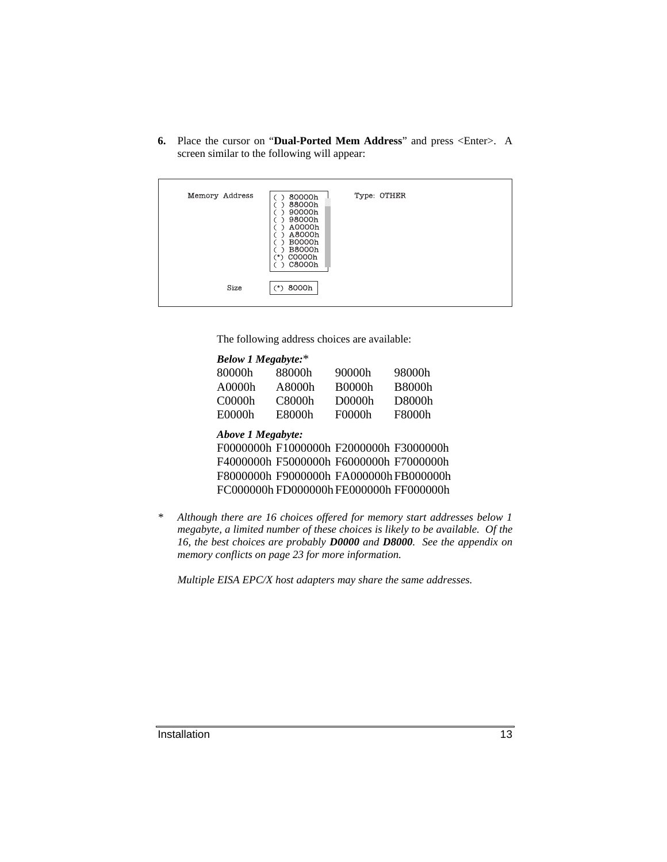**6.** Place the cursor on "**Dual-Ported Mem Address**" and press <Enter>. A screen similar to the following will appear:

| Memory Address | 80000h<br>88000h<br>90000h<br>98000h<br>A0000h<br>A8000h<br><b>B0000h</b><br><b>B8000h</b><br>C0000h<br>**<br>C8000h | Type: OTHER |  |
|----------------|----------------------------------------------------------------------------------------------------------------------|-------------|--|
| Size           | $(*)$ 8000h                                                                                                          |             |  |

The following address choices are available:

|        | <b>Below 1 Megabyte:*</b> |                                         |               |                                                                          |
|--------|---------------------------|-----------------------------------------|---------------|--------------------------------------------------------------------------|
|        | 80000h                    | 88000h                                  | 90000h        | 98000h                                                                   |
|        | A0000h                    | A8000h                                  | <b>B0000h</b> | <b>B8000h</b>                                                            |
|        | C0000h                    | C8000h                                  | D0000h        | D8000h                                                                   |
|        | E0000h                    | E8000h                                  | F0000h        | F8000h                                                                   |
|        | Above 1 Megabyte:         |                                         |               |                                                                          |
|        |                           | F0000000h F1000000h F2000000h F3000000h |               |                                                                          |
|        |                           | F4000000h F5000000h F6000000h F7000000h |               |                                                                          |
|        |                           |                                         |               | F8000000h F9000000h FA000000h FB000000h                                  |
|        |                           | FC000000h FD000000h FE000000h FF000000h |               |                                                                          |
|        |                           |                                         |               |                                                                          |
| $\ast$ |                           |                                         |               | Although there are 16 choices offered for memory start addresses below 1 |

*megabyte, a limited number of these choices is likely to be available. Of the 16, the best choices are probably D0000 and D8000. See the appendix on memory conflicts on page 23 for more information.*

*Multiple EISA EPC/X host adapters may share the same addresses.*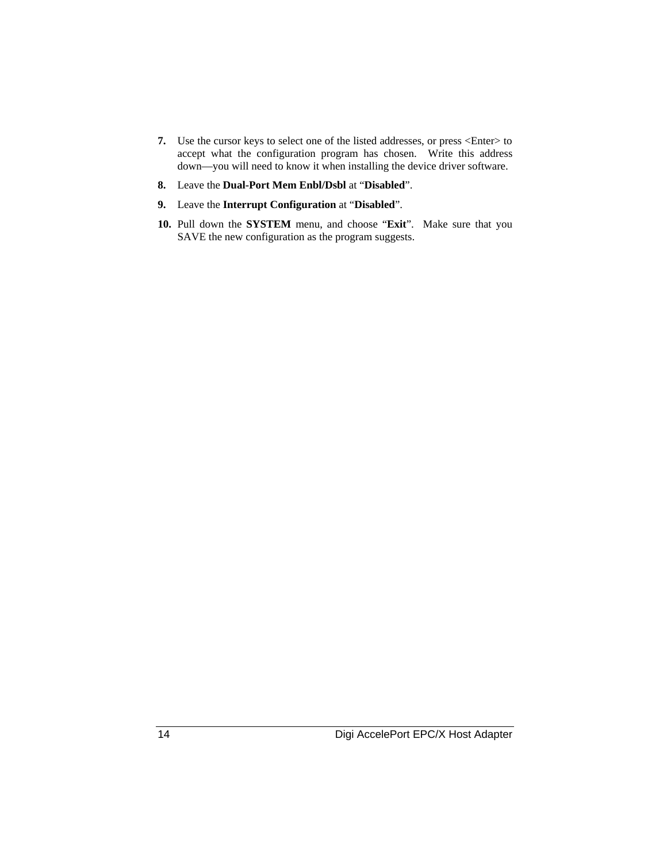- **7.** Use the cursor keys to select one of the listed addresses, or press <Enter> to accept what the configuration program has chosen. Write this address down—you will need to know it when installing the device driver software.
- **8.** Leave the **Dual-Port Mem Enbl/Dsbl** at "**Disabled**".
- **9.** Leave the **Interrupt Configuration** at "**Disabled**".
- **10.** Pull down the **SYSTEM** menu, and choose "**Exit**". Make sure that you SAVE the new configuration as the program suggests.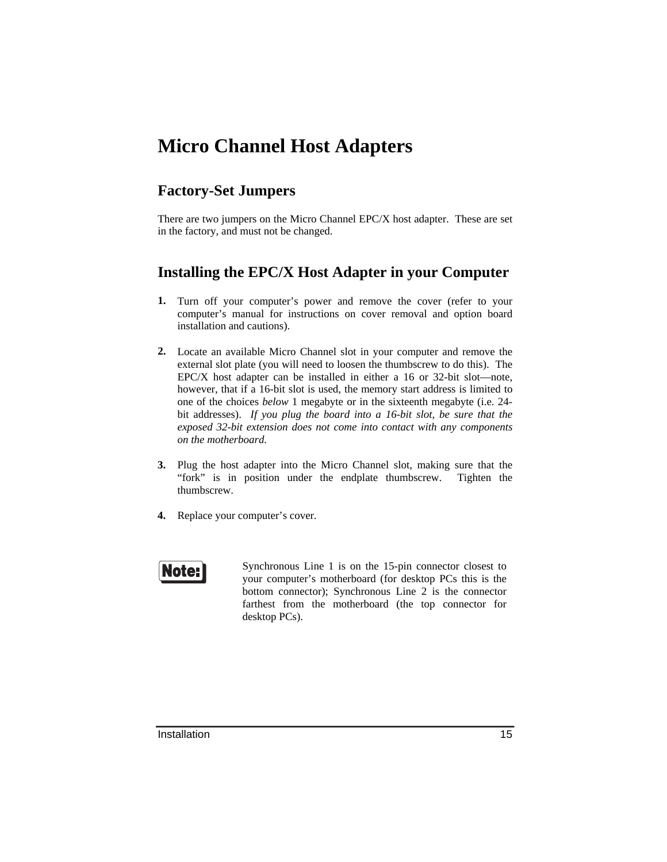# **Micro Channel Host Adapters**

#### **Factory-Set Jumpers**

There are two jumpers on the Micro Channel EPC/X host adapter. These are set in the factory, and must not be changed.

#### **Installing the EPC/X Host Adapter in your Computer**

- **1.** Turn off your computer's power and remove the cover (refer to your computer's manual for instructions on cover removal and option board installation and cautions).
- **2.** Locate an available Micro Channel slot in your computer and remove the external slot plate (you will need to loosen the thumbscrew to do this). The EPC/X host adapter can be installed in either a 16 or 32-bit slot—note, however, that if a 16-bit slot is used, the memory start address is limited to one of the choices *below* 1 megabyte or in the sixteenth megabyte (i.e. 24 bit addresses). *If you plug the board into a 16-bit slot, be sure that the exposed 32-bit extension does not come into contact with any components on the motherboard.*
- **3.** Plug the host adapter into the Micro Channel slot, making sure that the "fork" is in position under the endplate thumbscrew. Tighten the thumbscrew.
- **4.** Replace your computer's cover.



Synchronous Line 1 is on the 15-pin connector closest to your computer's motherboard (for desktop PCs this is the bottom connector); Synchronous Line 2 is the connector farthest from the motherboard (the top connector for desktop PCs).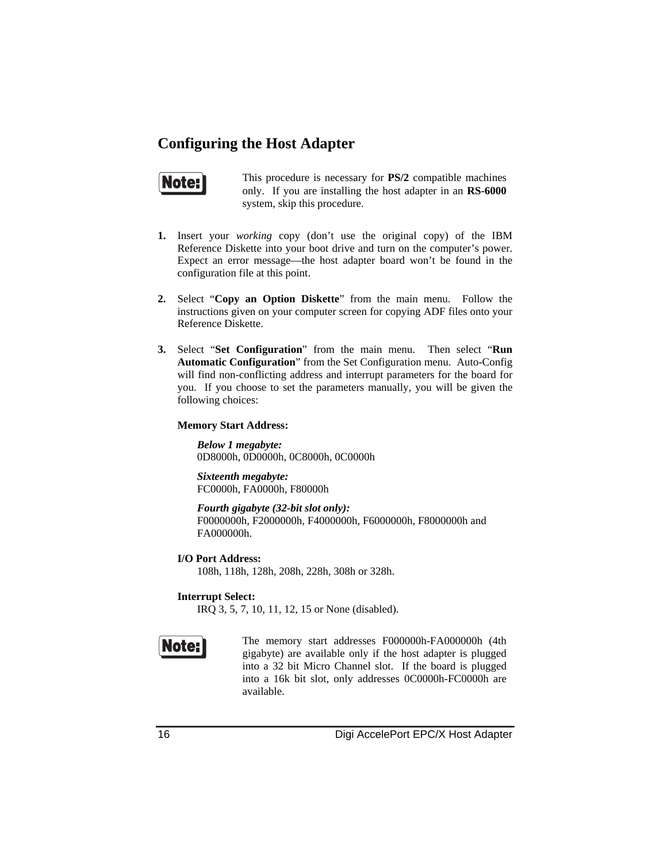#### **Configuring the Host Adapter**



This procedure is necessary for **PS/2** compatible machines only. If you are installing the host adapter in an **RS-6000** system, skip this procedure.

- **1.** Insert your *working* copy (don't use the original copy) of the IBM Reference Diskette into your boot drive and turn on the computer's power. Expect an error message—the host adapter board won't be found in the configuration file at this point.
- **2.** Select "**Copy an Option Diskette**" from the main menu. Follow the instructions given on your computer screen for copying ADF files onto your Reference Diskette.
- **3.** Select "**Set Configuration**" from the main menu. Then select "**Run Automatic Configuration**" from the Set Configuration menu. Auto-Config will find non-conflicting address and interrupt parameters for the board for you. If you choose to set the parameters manually, you will be given the following choices:

#### **Memory Start Address:**

*Below 1 megabyte:* 0D8000h, 0D0000h, 0C8000h, 0C0000h

*Sixteenth megabyte:* FC0000h, FA0000h, F80000h

*Fourth gigabyte (32-bit slot only):* F0000000h, F2000000h, F4000000h, F6000000h, F8000000h and FA000000h.

**I/O Port Address:** 108h, 118h, 128h, 208h, 228h, 308h or 328h.

**Interrupt Select:**

IRQ 3, 5, 7, 10, 11, 12, 15 or None (disabled).



The memory start addresses F000000h-FA000000h (4th gigabyte) are available only if the host adapter is plugged into a 32 bit Micro Channel slot. If the board is plugged into a 16k bit slot, only addresses 0C0000h-FC0000h are available.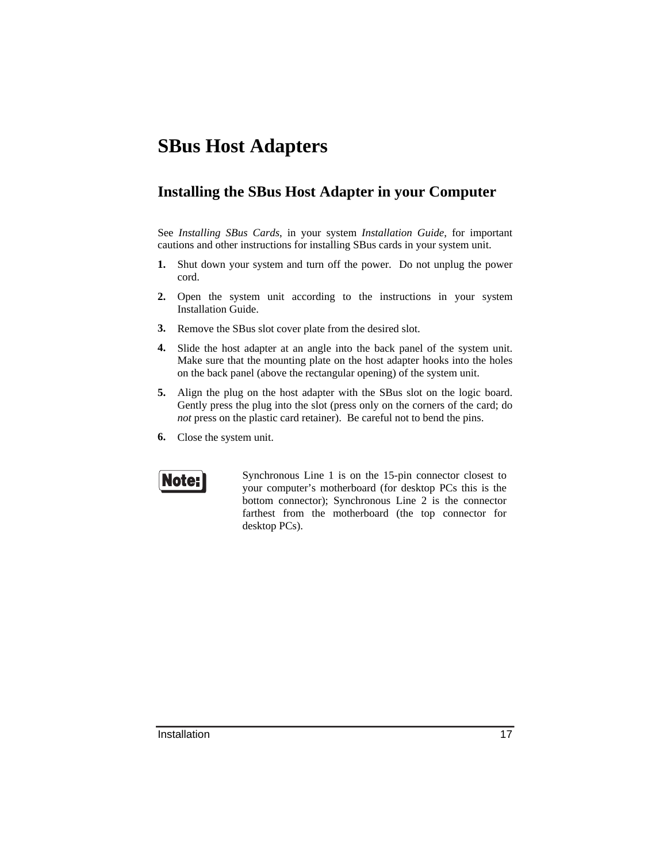# **SBus Host Adapters**

#### **Installing the SBus Host Adapter in your Computer**

See *Installing SBus Cards*, in your system *Installation Guide*, for important cautions and other instructions for installing SBus cards in your system unit.

- **1.** Shut down your system and turn off the power. Do not unplug the power cord.
- **2.** Open the system unit according to the instructions in your system Installation Guide.
- **3.** Remove the SBus slot cover plate from the desired slot.
- **4.** Slide the host adapter at an angle into the back panel of the system unit. Make sure that the mounting plate on the host adapter hooks into the holes on the back panel (above the rectangular opening) of the system unit.
- **5.** Align the plug on the host adapter with the SBus slot on the logic board. Gently press the plug into the slot (press only on the corners of the card; do *not* press on the plastic card retainer). Be careful not to bend the pins.
- **6.** Close the system unit.



Synchronous Line 1 is on the 15-pin connector closest to your computer's motherboard (for desktop PCs this is the bottom connector); Synchronous Line 2 is the connector farthest from the motherboard (the top connector for desktop PCs).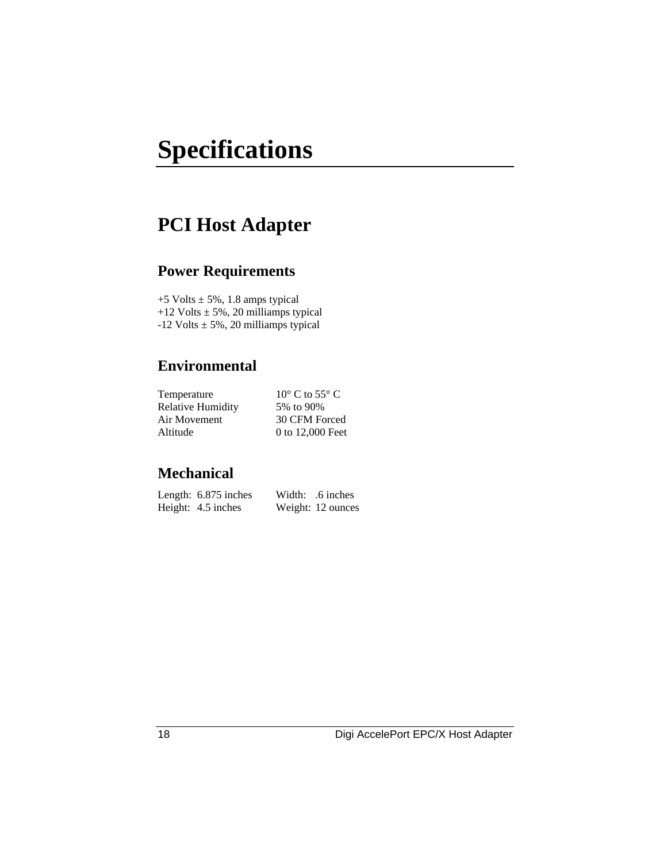# **Specifications**

# **PCI Host Adapter**

#### **Power Requirements**

 $+5$  Volts  $\pm$  5%, 1.8 amps typical +12 Volts  $\pm$  5%, 20 milliamps typical -12 Volts  $\pm$  5%, 20 milliamps typical

#### **Environmental**

| $10^{\circ}$ C to 55 $^{\circ}$ C |
|-----------------------------------|
| 5% to 90%                         |
| 30 CFM Forced                     |
| 0 to 12,000 Feet                  |
|                                   |

| Length: 6.875 inches | Width: .6 inches  |
|----------------------|-------------------|
| Height: 4.5 inches   | Weight: 12 ounces |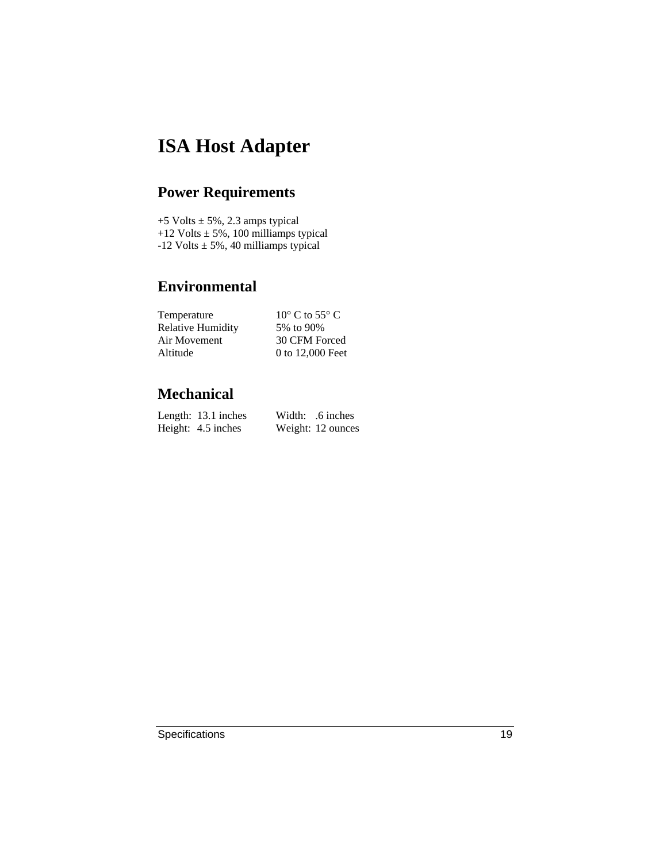# **ISA Host Adapter**

### **Power Requirements**

 $+5$  Volts  $\pm$  5%, 2.3 amps typical +12 Volts  $\pm$  5%, 100 milliamps typical -12 Volts  $\pm$  5%, 40 milliamps typical

#### **Environmental**

| $10^{\circ}$ C to 55 $^{\circ}$ C |
|-----------------------------------|
| 5% to 90%                         |
| 30 CFM Forced                     |
| 0 to 12,000 Feet                  |
|                                   |

| Length: 13.1 inches | Width: .6 inches  |
|---------------------|-------------------|
| Height: 4.5 inches  | Weight: 12 ounces |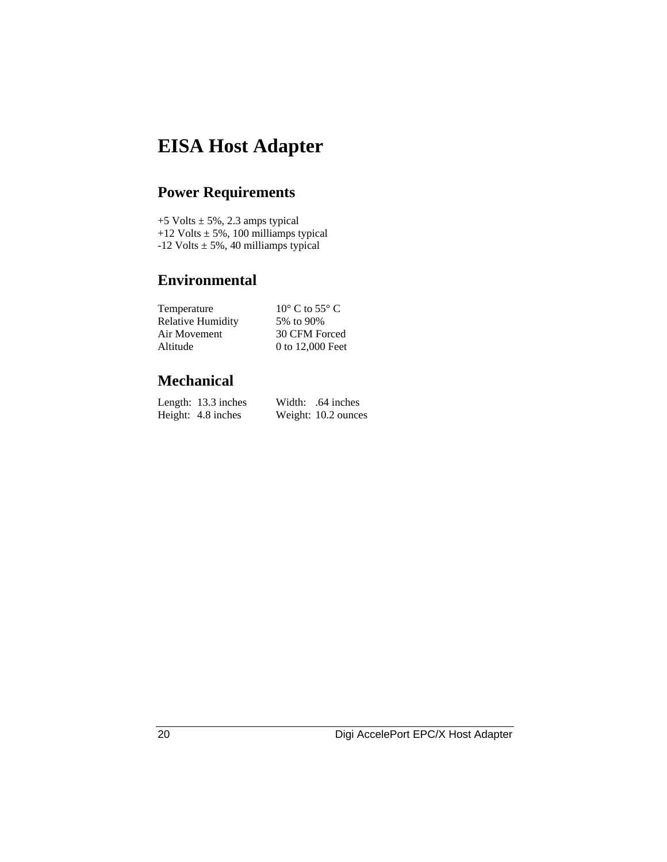# **EISA Host Adapter**

# **Power Requirements**

 $+5$  Volts  $\pm$  5%, 2.3 amps typical +12 Volts  $\pm$  5%, 100 milliamps typical -12 Volts  $\pm$  5%, 40 milliamps typical

#### **Environmental**

| Temperature              | $10^{\circ}$ C to 55 $^{\circ}$ C |
|--------------------------|-----------------------------------|
| <b>Relative Humidity</b> | 5% to 90%                         |
| Air Movement             | 30 CFM Forced                     |
| Altitude                 | 0 to 12,000 Feet                  |

| Length: 13.3 inches | Width: .64 inches   |
|---------------------|---------------------|
| Height: 4.8 inches  | Weight: 10.2 ounces |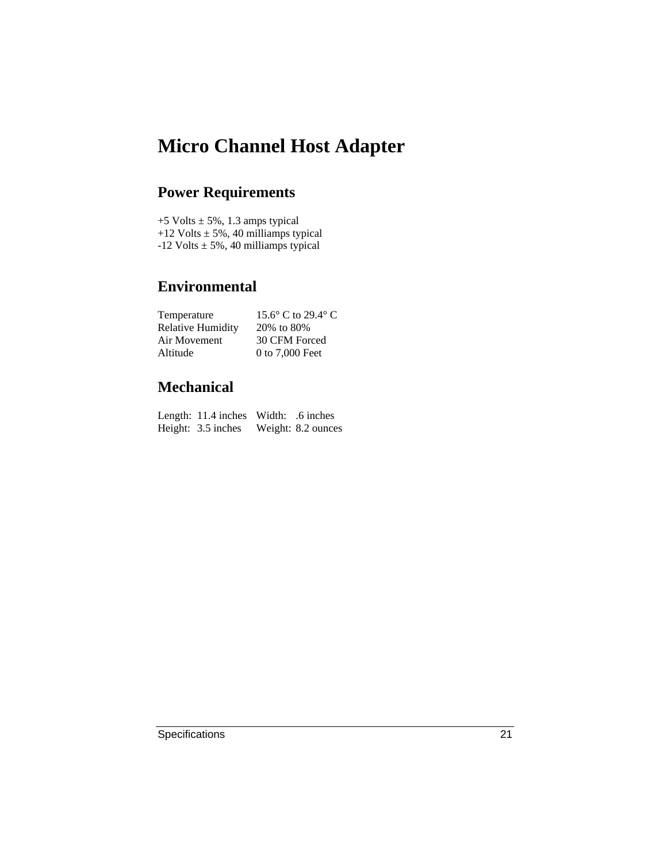# **Micro Channel Host Adapter**

### **Power Requirements**

 $+5$  Volts  $\pm$  5%, 1.3 amps typical +12 Volts  $\pm$  5%, 40 milliamps typical -12 Volts  $\pm$  5%, 40 milliamps typical

#### **Environmental**

| Temperature              | 15.6 $\degree$ C to 29.4 $\degree$ C |
|--------------------------|--------------------------------------|
| <b>Relative Humidity</b> | 20% to 80%                           |
| Air Movement             | 30 CFM Forced                        |
| Altitude                 | 0 to 7,000 Feet                      |

| Length: 11.4 inches Width: .6 inches |                    |
|--------------------------------------|--------------------|
| Height: 3.5 inches                   | Weight: 8.2 ounces |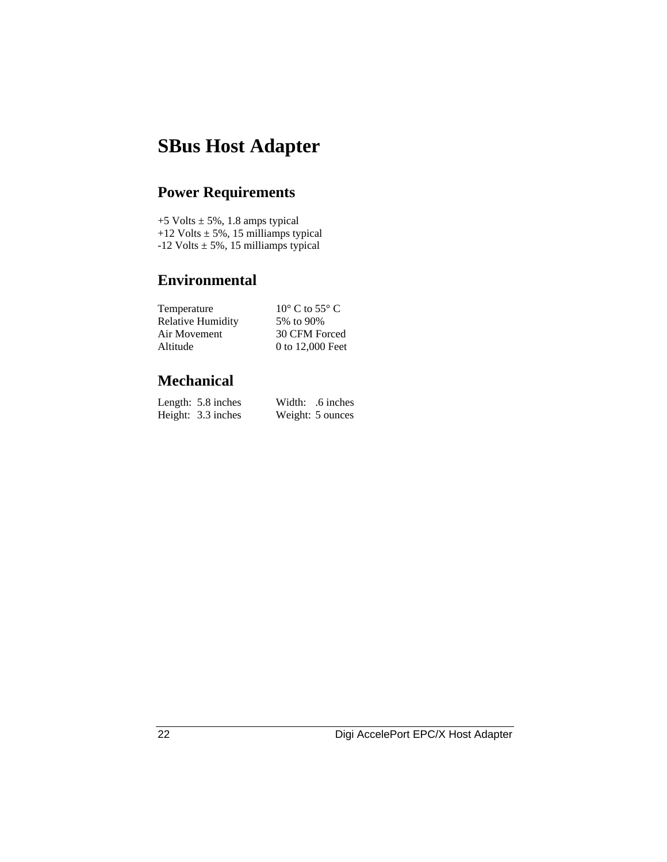# **SBus Host Adapter**

# **Power Requirements**

 $+5$  Volts  $\pm$  5%, 1.8 amps typical +12 Volts  $\pm$  5%, 15 milliamps typical  $-12$  Volts  $\pm$  5%, 15 milliamps typical

#### **Environmental**

| Temperature              | $10^{\circ}$ C to 55 $^{\circ}$ C |
|--------------------------|-----------------------------------|
| <b>Relative Humidity</b> | 5% to 90%                         |
| Air Movement             | 30 CFM Forced                     |
| Altitude                 | 0 to 12,000 Feet                  |

| Length: 5.8 inches | Width: .6 inches |
|--------------------|------------------|
| Height: 3.3 inches | Weight: 5 ounces |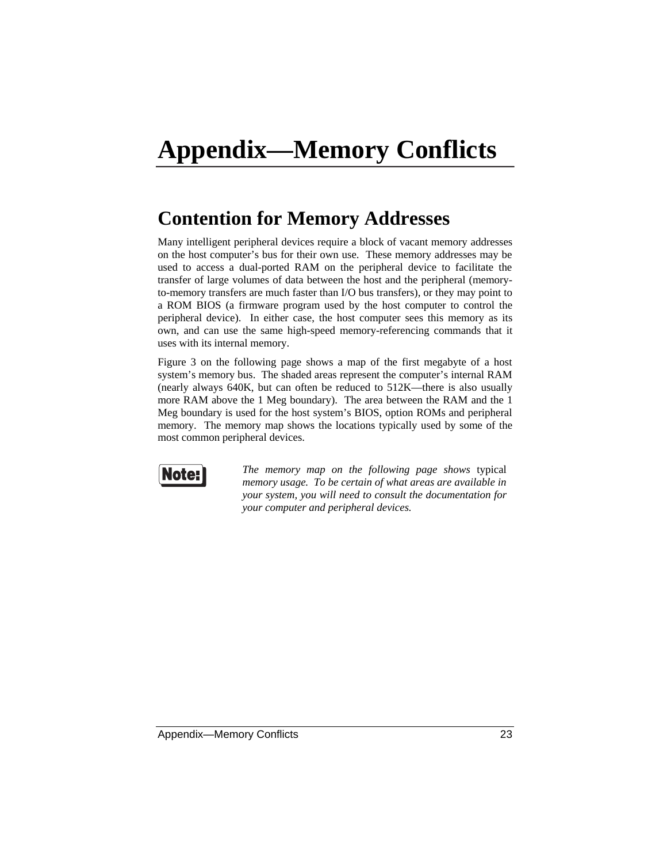# **Contention for Memory Addresses**

Many intelligent peripheral devices require a block of vacant memory addresses on the host computer's bus for their own use. These memory addresses may be used to access a dual-ported RAM on the peripheral device to facilitate the transfer of large volumes of data between the host and the peripheral (memoryto-memory transfers are much faster than I/O bus transfers), or they may point to a ROM BIOS (a firmware program used by the host computer to control the peripheral device). In either case, the host computer sees this memory as its own, and can use the same high-speed memory-referencing commands that it uses with its internal memory.

Figure 3 on the following page shows a map of the first megabyte of a host system's memory bus. The shaded areas represent the computer's internal RAM (nearly always 640K, but can often be reduced to 512K—there is also usually more RAM above the 1 Meg boundary). The area between the RAM and the 1 Meg boundary is used for the host system's BIOS, option ROMs and peripheral memory. The memory map shows the locations typically used by some of the most common peripheral devices.



*The memory map on the following page shows* typical *memory usage. To be certain of what areas are available in your system, you will need to consult the documentation for your computer and peripheral devices.*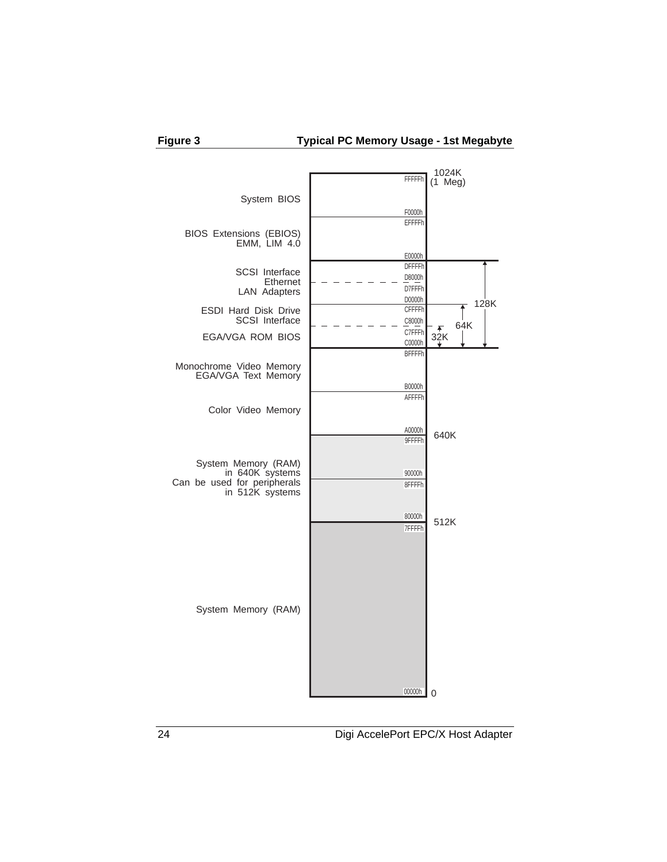

**Figure 3 Typical PC Memory Usage - 1st Megabyte**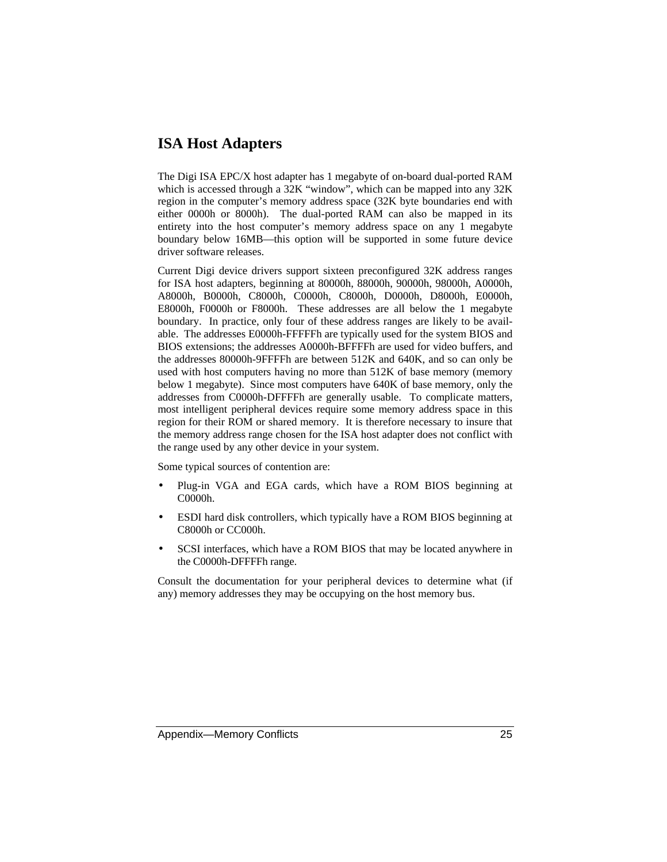#### **ISA Host Adapters**

The Digi ISA EPC/X host adapter has 1 megabyte of on-board dual-ported RAM which is accessed through a 32K "window", which can be mapped into any 32K region in the computer's memory address space (32K byte boundaries end with either 0000h or 8000h). The dual-ported RAM can also be mapped in its entirety into the host computer's memory address space on any 1 megabyte boundary below 16MB—this option will be supported in some future device driver software releases.

Current Digi device drivers support sixteen preconfigured 32K address ranges for ISA host adapters, beginning at 80000h, 88000h, 90000h, 98000h, A0000h, A8000h, B0000h, C8000h, C0000h, C8000h, D0000h, D8000h, E0000h, E8000h, F0000h or F8000h. These addresses are all below the 1 megabyte boundary. In practice, only four of these address ranges are likely to be available. The addresses E0000h-FFFFFh are typically used for the system BIOS and BIOS extensions; the addresses A0000h-BFFFFh are used for video buffers, and the addresses 80000h-9FFFFh are between 512K and 640K, and so can only be used with host computers having no more than 512K of base memory (memory below 1 megabyte). Since most computers have 640K of base memory, only the addresses from C0000h-DFFFFh are generally usable. To complicate matters, most intelligent peripheral devices require some memory address space in this region for their ROM or shared memory. It is therefore necessary to insure that the memory address range chosen for the ISA host adapter does not conflict with the range used by any other device in your system.

Some typical sources of contention are:

- Plug-in VGA and EGA cards, which have a ROM BIOS beginning at C0000h.
- ESDI hard disk controllers, which typically have a ROM BIOS beginning at C8000h or CC000h.
- SCSI interfaces, which have a ROM BIOS that may be located anywhere in the C0000h-DFFFFh range.

Consult the documentation for your peripheral devices to determine what (if any) memory addresses they may be occupying on the host memory bus.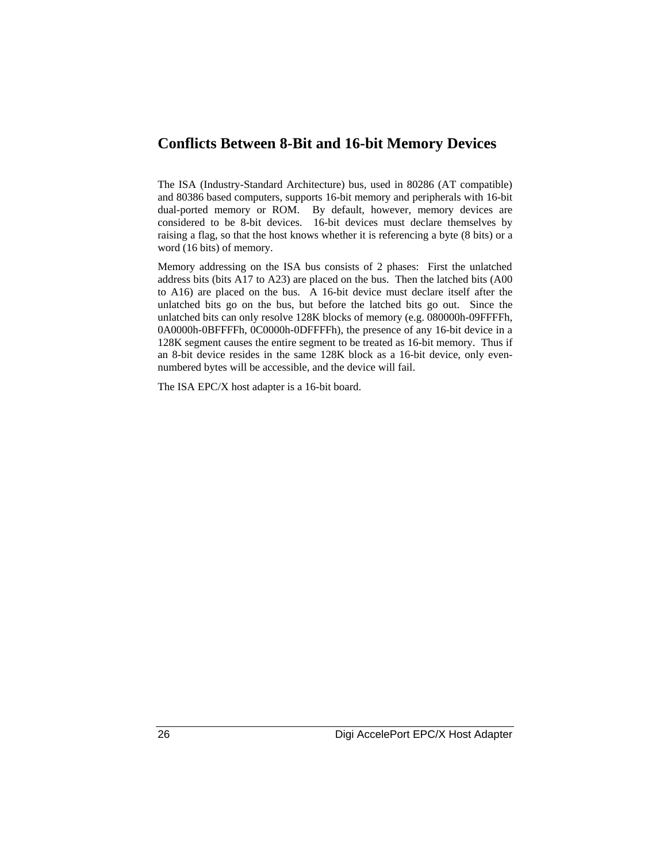#### **Conflicts Between 8-Bit and 16-bit Memory Devices**

The ISA (Industry-Standard Architecture) bus, used in 80286 (AT compatible) and 80386 based computers, supports 16-bit memory and peripherals with 16-bit dual-ported memory or ROM. By default, however, memory devices are considered to be 8-bit devices. 16-bit devices must declare themselves by raising a flag, so that the host knows whether it is referencing a byte (8 bits) or a word (16 bits) of memory.

Memory addressing on the ISA bus consists of 2 phases: First the unlatched address bits (bits A17 to A23) are placed on the bus. Then the latched bits (A00 to A16) are placed on the bus. A 16-bit device must declare itself after the unlatched bits go on the bus, but before the latched bits go out. Since the unlatched bits can only resolve 128K blocks of memory (e.g. 080000h-09FFFFh, 0A0000h-0BFFFFh, 0C0000h-0DFFFFh), the presence of any 16-bit device in a 128K segment causes the entire segment to be treated as 16-bit memory. Thus if an 8-bit device resides in the same 128K block as a 16-bit device, only evennumbered bytes will be accessible, and the device will fail.

The ISA EPC/X host adapter is a 16-bit board.

26 Digi AccelePort EPC/X Host Adapter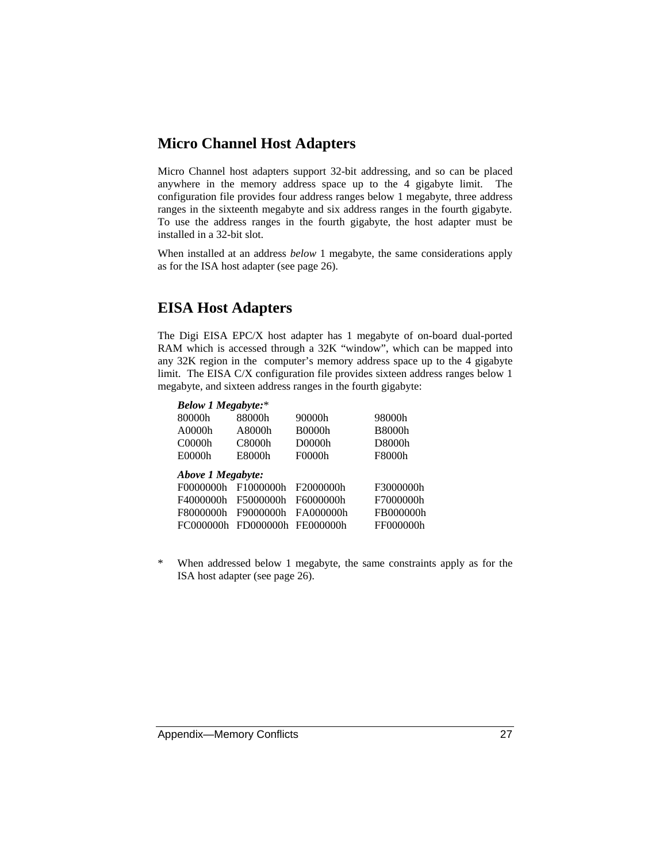#### **Micro Channel Host Adapters**

Micro Channel host adapters support 32-bit addressing, and so can be placed anywhere in the memory address space up to the 4 gigabyte limit. The configuration file provides four address ranges below 1 megabyte, three address ranges in the sixteenth megabyte and six address ranges in the fourth gigabyte. To use the address ranges in the fourth gigabyte, the host adapter must be installed in a 32-bit slot.

When installed at an address *below* 1 megabyte, the same considerations apply as for the ISA host adapter (see page 26).

#### **EISA Host Adapters**

The Digi EISA EPC/X host adapter has 1 megabyte of on-board dual-ported RAM which is accessed through a 32K "window", which can be mapped into any 32K region in the computer's memory address space up to the 4 gigabyte limit. The EISA C/X configuration file provides sixteen address ranges below 1 megabyte, and sixteen address ranges in the fourth gigabyte:

| <b>Below 1 Megabyte:*</b> |           |               |               |
|---------------------------|-----------|---------------|---------------|
| 80000h                    | 88000h    | 90000h        | 98000h        |
| A0000h                    | A8000h    | <b>B0000h</b> | <b>B8000h</b> |
| C0000h                    | C8000h    | D0000h        | D8000h        |
| E0000h                    | E8000h    | F0000h        | F8000h        |
| Above 1 Megabyte:         |           |               |               |
|                           |           |               |               |
| F00000000h                | F1000000h | F2000000h     | F3000000h     |
| F4000000h                 | F5000000h | F6000000h     | F7000000h     |
| F8000000h                 | F9000000h | FA000000h     | FB000000h     |

\* When addressed below 1 megabyte, the same constraints apply as for the ISA host adapter (see page 26).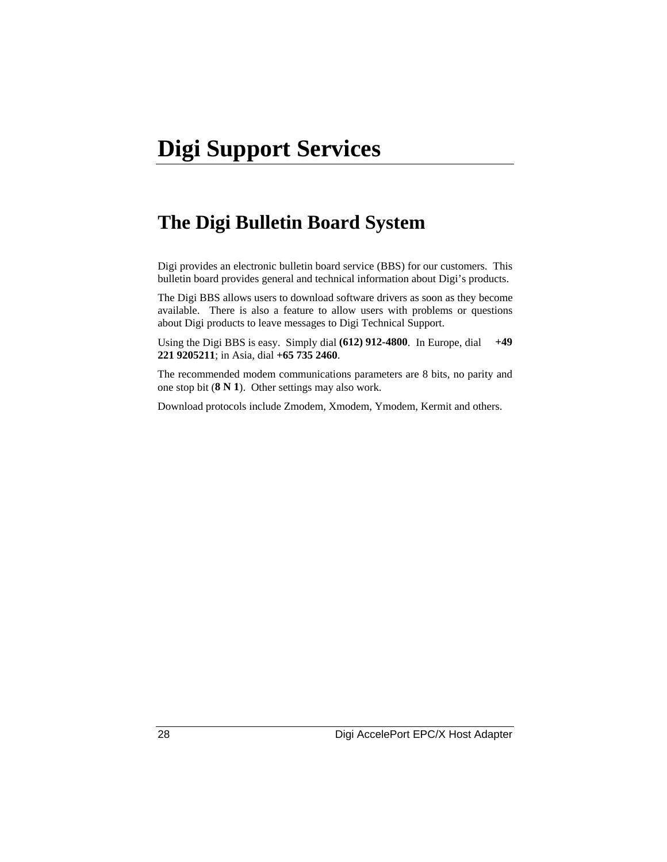# **The Digi Bulletin Board System**

Digi provides an electronic bulletin board service (BBS) for our customers. This bulletin board provides general and technical information about Digi's products.

The Digi BBS allows users to download software drivers as soon as they become available. There is also a feature to allow users with problems or questions about Digi products to leave messages to Digi Technical Support.

Using the Digi BBS is easy. Simply dial **(612) 912-4800**. In Europe, dial **+49 221 9205211**; in Asia, dial **+65 735 2460**.

The recommended modem communications parameters are 8 bits, no parity and one stop bit (**8 N 1**). Other settings may also work.

Download protocols include Zmodem, Xmodem, Ymodem, Kermit and others.

28 Digi AccelePort EPC/X Host Adapter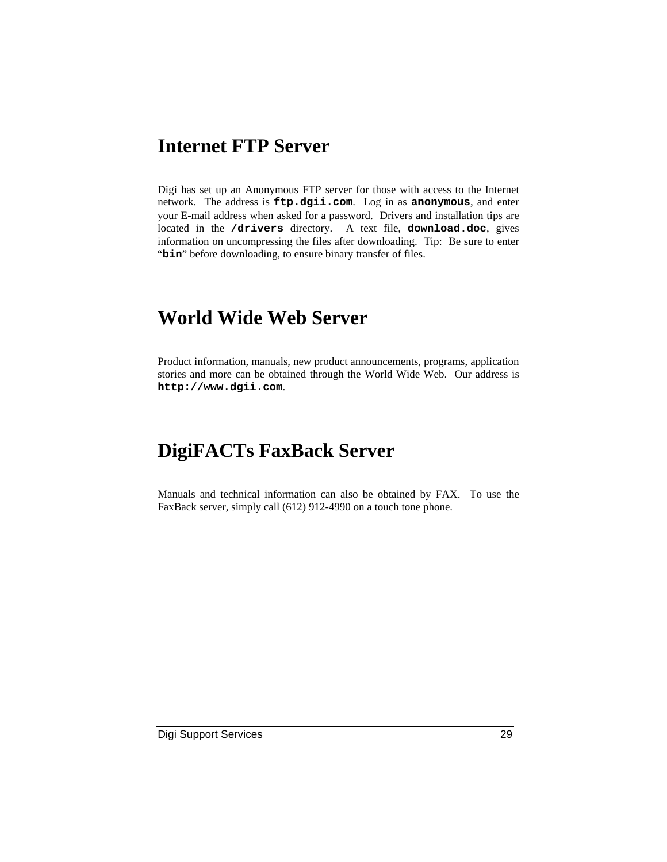### **Internet FTP Server**

Digi has set up an Anonymous FTP server for those with access to the Internet network. The address is **ftp.dgii.com**. Log in as **anonymous**, and enter your E-mail address when asked for a password. Drivers and installation tips are located in the **/drivers** directory. A text file, **download.doc**, gives information on uncompressing the files after downloading. Tip: Be sure to enter "bin" before downloading, to ensure binary transfer of files.

# **World Wide Web Server**

Product information, manuals, new product announcements, programs, application stories and more can be obtained through the World Wide Web. Our address is **http://www.dgii.com**.

# **DigiFACTs FaxBack Server**

Manuals and technical information can also be obtained by FAX. To use the FaxBack server, simply call (612) 912-4990 on a touch tone phone.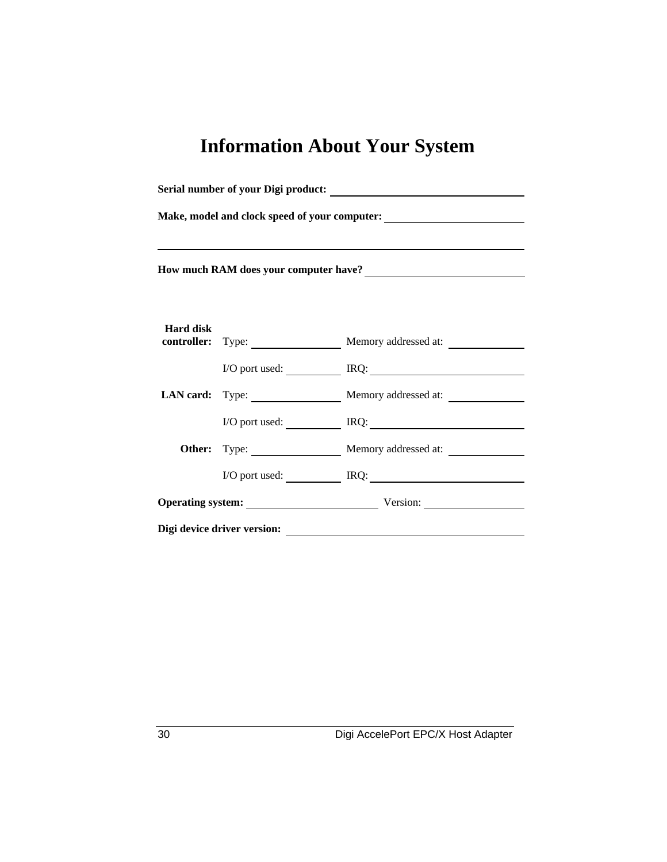# **Information About Your System**

| Make, model and clock speed of your computer:<br><u>Letting and the speed of your computer:</u> |  |                                                     |  |
|-------------------------------------------------------------------------------------------------|--|-----------------------------------------------------|--|
| How much RAM does your computer have?<br><u> </u>                                               |  |                                                     |  |
| <b>Hard disk</b>                                                                                |  | <b>controller:</b> Type: Memory addressed at:       |  |
|                                                                                                 |  | I/O port used: IRQ: IRQ:                            |  |
|                                                                                                 |  | LAN card: Type: Memory addressed at:                |  |
|                                                                                                 |  | $I/O$ port used: $\qquad \qquad \qquad \text{IRQ:}$ |  |
|                                                                                                 |  | Other: Type: Memory addressed at:                   |  |
|                                                                                                 |  | I/O port used: IRQ: IRQ:                            |  |
|                                                                                                 |  | Operating system: Version: Version:                 |  |
| Digi device driver version:                                                                     |  |                                                     |  |

30 Digi AccelePort EPC/X Host Adapter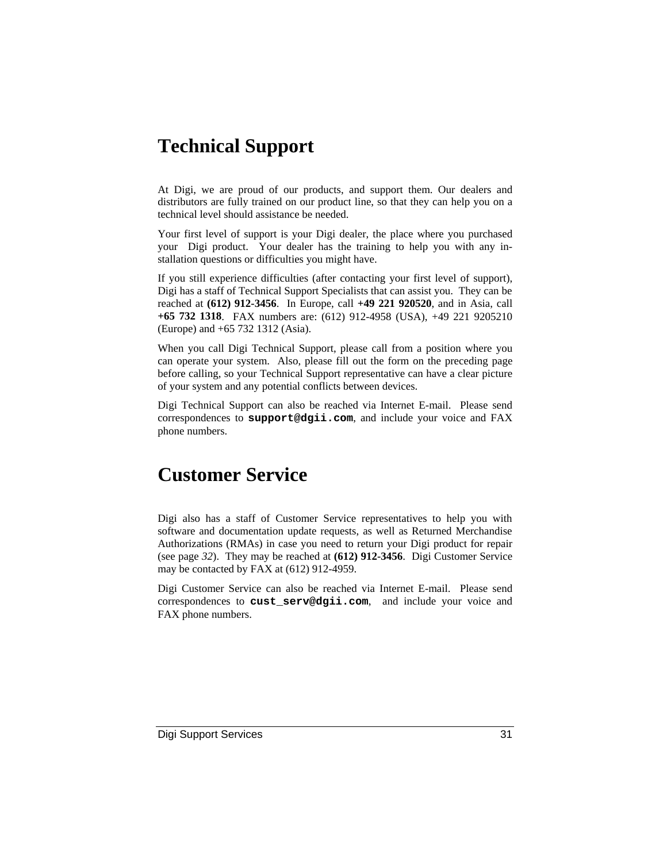# **Technical Support**

At Digi, we are proud of our products, and support them. Our dealers and distributors are fully trained on our product line, so that they can help you on a technical level should assistance be needed.

Your first level of support is your Digi dealer, the place where you purchased your Digi product. Your dealer has the training to help you with any installation questions or difficulties you might have.

If you still experience difficulties (after contacting your first level of support), Digi has a staff of Technical Support Specialists that can assist you. They can be reached at **(612) 912-3456**. In Europe, call **+49 221 920520**, and in Asia, call **+65 732 1318**. FAX numbers are: (612) 912-4958 (USA), +49 221 9205210 (Europe) and +65 732 1312 (Asia).

When you call Digi Technical Support, please call from a position where you can operate your system. Also, please fill out the form on the preceding page before calling, so your Technical Support representative can have a clear picture of your system and any potential conflicts between devices.

Digi Technical Support can also be reached via Internet E-mail. Please send correspondences to **support@dgii.com**, and include your voice and FAX phone numbers.

# **Customer Service**

Digi also has a staff of Customer Service representatives to help you with software and documentation update requests, as well as Returned Merchandise Authorizations (RMAs) in case you need to return your Digi product for repair (see page *32*). They may be reached at **(612) 912-3456**. Digi Customer Service may be contacted by FAX at (612) 912-4959.

Digi Customer Service can also be reached via Internet E-mail. Please send correspondences to **cust\_serv@dgii.com**, and include your voice and FAX phone numbers.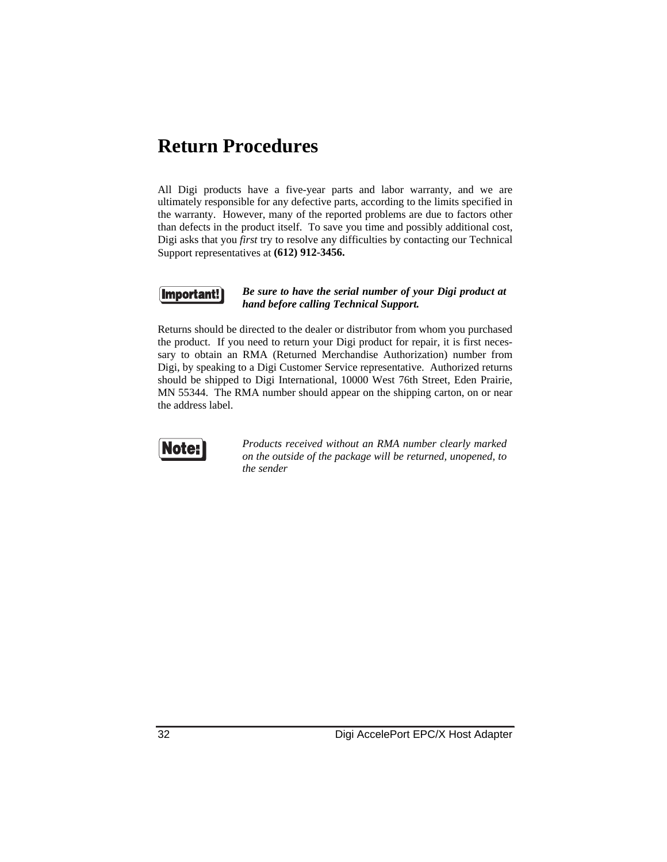### **Return Procedures**

All Digi products have a five-year parts and labor warranty, and we are ultimately responsible for any defective parts, according to the limits specified in the warranty. However, many of the reported problems are due to factors other than defects in the product itself. To save you time and possibly additional cost, Digi asks that you *first* try to resolve any difficulties by contacting our Technical Support representatives at **(612) 912-3456.**



#### *Be sure to have the serial number of your Digi product at hand before calling Technical Support.*

Returns should be directed to the dealer or distributor from whom you purchased the product. If you need to return your Digi product for repair, it is first necessary to obtain an RMA (Returned Merchandise Authorization) number from Digi, by speaking to a Digi Customer Service representative. Authorized returns should be shipped to Digi International, 10000 West 76th Street, Eden Prairie, MN 55344. The RMA number should appear on the shipping carton, on or near the address label.



*Products received without an RMA number clearly marked on the outside of the package will be returned, unopened, to the sender*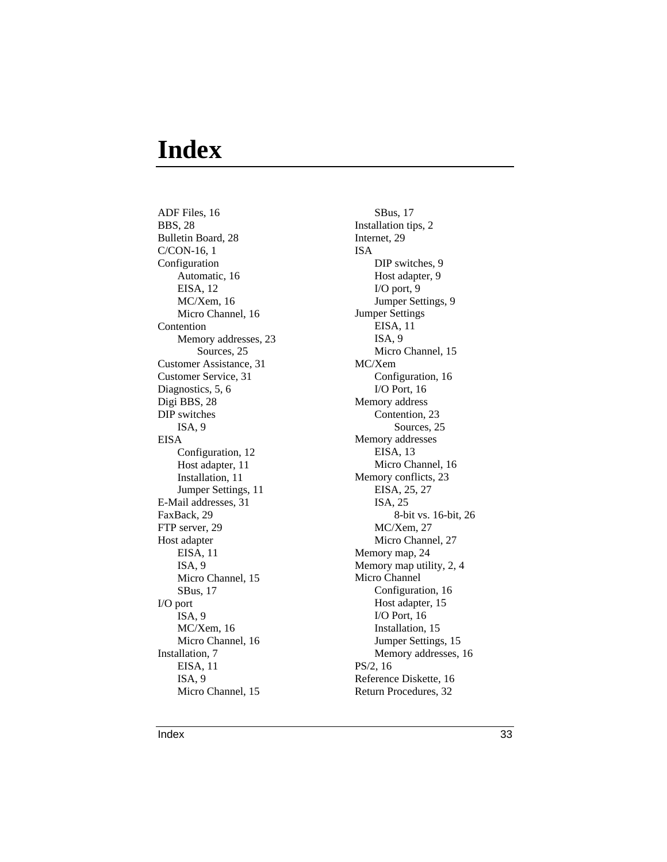# **Index**

ADF Files, 16 BBS, 28 Bulletin Board, 28 C/CON-16, 1 Configuration Automatic, 16 EISA, 12 MC/Xem, 16 Micro Channel, 16 Contention Memory addresses, 23 Sources, 25 Customer Assistance, 31 Customer Service, 31 Diagnostics, 5, 6 Digi BBS, 28 DIP switches ISA, 9 EISA Configuration, 12 Host adapter, 11 Installation, 11 Jumper Settings, 11 E-Mail addresses, 31 FaxBack, 29 FTP server, 29 Host adapter EISA, 11 ISA, 9 Micro Channel, 15 SBus, 17 I/O port ISA, 9 MC/Xem, 16 Micro Channel, 16 Installation, 7 EISA, 11 ISA, 9 Micro Channel, 15

SBus, 17 Installation tips, 2 Internet, 29 ISA DIP switches, 9 Host adapter, 9 I/O port, 9 Jumper Settings, 9 Jumper Settings EISA, 11 ISA, 9 Micro Channel, 15 MC/Xem Configuration, 16 I/O Port, 16 Memory address Contention, 23 Sources, 25 Memory addresses EISA, 13 Micro Channel, 16 Memory conflicts, 23 EISA, 25, 27 ISA, 25 8-bit vs. 16-bit, 26 MC/Xem, 27 Micro Channel, 27 Memory map, 24 Memory map utility, 2, 4 Micro Channel Configuration, 16 Host adapter, 15 I/O Port, 16 Installation, 15 Jumper Settings, 15 Memory addresses, 16 PS/2, 16 Reference Diskette, 16 Return Procedures, 32